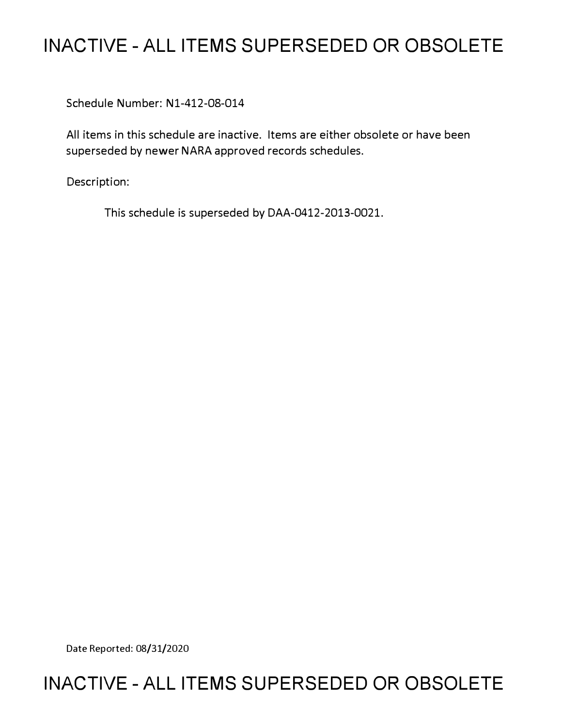# **INACTIVE - ALL ITEMS SUPERSEDED OR OBSOLETE**

Schedule Number: Nl-412-08-014

All items in this schedule are inactive. Items are either obsolete or have been superseded by newer NARA approved records schedules.

Description:

This schedule is superseded by DAA-0412-2013-0021.

Date Reported: 08/31/2020

## **INACTIVE - ALL ITEMS SUPERSEDED OR OBSOLETE**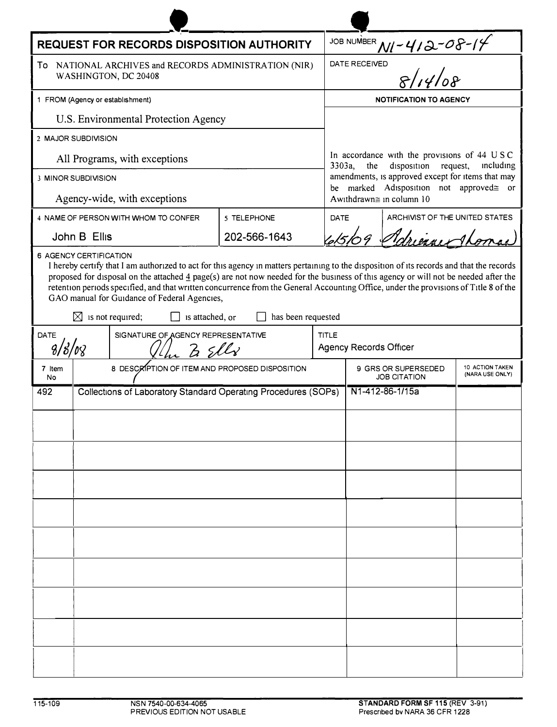| <b>REQUEST FOR RECORDS DISPOSITION AUTHORITY</b>                                 |                                                                |                                                                 |                    |              |                                                                                                                                                                                                                                                                                                                                                                                                                                     |                                    |  |
|----------------------------------------------------------------------------------|----------------------------------------------------------------|-----------------------------------------------------------------|--------------------|--------------|-------------------------------------------------------------------------------------------------------------------------------------------------------------------------------------------------------------------------------------------------------------------------------------------------------------------------------------------------------------------------------------------------------------------------------------|------------------------------------|--|
| To<br>NATIONAL ARCHIVES and RECORDS ADMINISTRATION (NIR)<br>WASHINGTON, DC 20408 |                                                                |                                                                 |                    |              | JOB NUMBER $M$ - 412-08-14                                                                                                                                                                                                                                                                                                                                                                                                          |                                    |  |
| 1 FROM (Agency or establishment)                                                 |                                                                |                                                                 |                    |              | <b>NOTIFICATION TO AGENCY</b>                                                                                                                                                                                                                                                                                                                                                                                                       |                                    |  |
|                                                                                  |                                                                | U.S. Environmental Protection Agency                            |                    |              |                                                                                                                                                                                                                                                                                                                                                                                                                                     |                                    |  |
|                                                                                  | 2 MAJOR SUBDIVISION                                            |                                                                 |                    |              |                                                                                                                                                                                                                                                                                                                                                                                                                                     |                                    |  |
| All Programs, with exceptions                                                    |                                                                |                                                                 |                    |              | In accordance with the provisions of 44 USC<br>disposition request,<br>the<br>3303a,<br>including<br>amendments, is approved except for items that may<br>be marked Adisposition not approved gor<br>Awithdrawn≅ in column 10                                                                                                                                                                                                       |                                    |  |
| 3 MINOR SUBDIVISION                                                              |                                                                |                                                                 |                    |              |                                                                                                                                                                                                                                                                                                                                                                                                                                     |                                    |  |
| Agency-wide, with exceptions                                                     |                                                                |                                                                 |                    |              |                                                                                                                                                                                                                                                                                                                                                                                                                                     |                                    |  |
| 4 NAME OF PERSON WITH WHOM TO CONFER                                             |                                                                |                                                                 | 5 TELEPHONE        |              | <b>DATE</b><br>ARCHIVIST OF THE UNITED STATES                                                                                                                                                                                                                                                                                                                                                                                       |                                    |  |
|                                                                                  | John B Ellis                                                   |                                                                 | 202-566-1643       |              | 615/09 Adrience Thor                                                                                                                                                                                                                                                                                                                                                                                                                |                                    |  |
|                                                                                  | $\boxtimes$ is not required;                                   | GAO manual for Guidance of Federal Agencies,<br>is attached, or | has been requested |              | I hereby certify that I am authorized to act for this agency in matters pertaining to the disposition of its records and that the records<br>proposed for disposal on the attached $\frac{4}{3}$ page(s) are not now needed for the business of this agency or will not be needed after the<br>retention periods specified, and that written concurrence from the General Accounting Office, under the provisions of Title 8 of the |                                    |  |
| DATE                                                                             | SIGNATURE OF AGENCY REPRESENTATIVE<br>$8/8/\nu$                |                                                                 |                    | <b>TITLE</b> | <b>Agency Records Officer</b>                                                                                                                                                                                                                                                                                                                                                                                                       |                                    |  |
| 7 Item<br>No                                                                     |                                                                | 8 DESCRIPTION OF ITEM AND PROPOSED DISPOSITION                  |                    |              | 9 GRS OR SUPERSEDED<br><b>JOB CITATION</b>                                                                                                                                                                                                                                                                                                                                                                                          | 10 ACTION TAKEN<br>(NARA USE ONLY) |  |
| 492                                                                              | Collections of Laboratory Standard Operating Procedures (SOPs) |                                                                 |                    |              | N1-412-86-1/15a                                                                                                                                                                                                                                                                                                                                                                                                                     |                                    |  |
|                                                                                  |                                                                |                                                                 |                    |              |                                                                                                                                                                                                                                                                                                                                                                                                                                     |                                    |  |
|                                                                                  |                                                                |                                                                 |                    |              |                                                                                                                                                                                                                                                                                                                                                                                                                                     |                                    |  |
|                                                                                  |                                                                |                                                                 |                    |              |                                                                                                                                                                                                                                                                                                                                                                                                                                     |                                    |  |
|                                                                                  |                                                                |                                                                 |                    |              |                                                                                                                                                                                                                                                                                                                                                                                                                                     |                                    |  |
|                                                                                  |                                                                |                                                                 |                    |              |                                                                                                                                                                                                                                                                                                                                                                                                                                     |                                    |  |
|                                                                                  |                                                                |                                                                 |                    |              |                                                                                                                                                                                                                                                                                                                                                                                                                                     |                                    |  |
|                                                                                  |                                                                |                                                                 |                    |              |                                                                                                                                                                                                                                                                                                                                                                                                                                     |                                    |  |
|                                                                                  |                                                                |                                                                 |                    |              |                                                                                                                                                                                                                                                                                                                                                                                                                                     |                                    |  |
|                                                                                  |                                                                |                                                                 |                    |              |                                                                                                                                                                                                                                                                                                                                                                                                                                     |                                    |  |
|                                                                                  |                                                                |                                                                 |                    |              |                                                                                                                                                                                                                                                                                                                                                                                                                                     |                                    |  |
|                                                                                  |                                                                |                                                                 |                    |              |                                                                                                                                                                                                                                                                                                                                                                                                                                     |                                    |  |
|                                                                                  |                                                                |                                                                 |                    |              |                                                                                                                                                                                                                                                                                                                                                                                                                                     |                                    |  |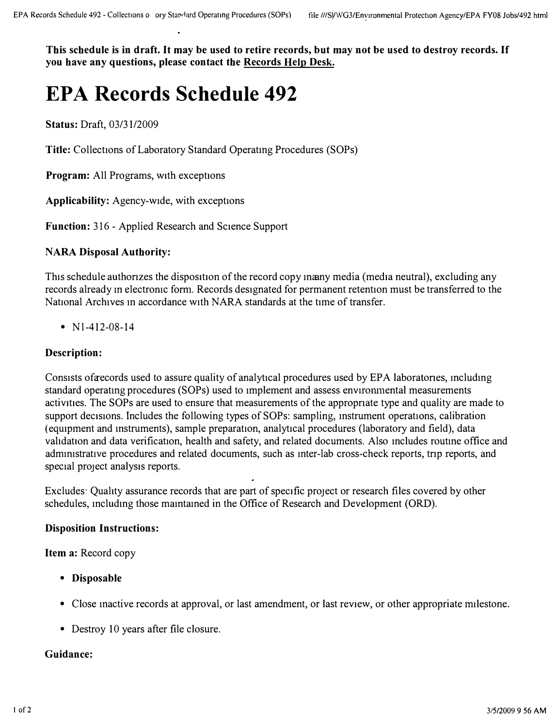**This schedule is in draft. It may be used to retire records, but may not be used to destroy records. If you have any questions, please contact the Records Help Desk.** 

# **EPA Records Schedule 492**

**Status:** Draft, 03/31/2009

**Title:** Collections of Laboratory Standard Operatmg Procedures (SOPs)

**Program:** All Programs, with exceptions

**Applicability:** Agency-wide, with exceptions

**Function:** 316 - Applied Research and Science Support

#### **NARA Disposal Authority:**

This schedule authonzes the disposition of the record copy maany media (media neutral), excluding any records already in electronic form. Records designated for permanent retention must be transferred to the National Archives m accordance with NARA standards at the time of transfer.

• N<sub>1</sub>-412-08-14

#### **Description:**

Consists ofarecords used to assure quality of analytical procedures used by EPA laboratones, mcludmg standard operating procedures (SOPs) used to implement and assess environmental measurements activities. The SOPs are used to ensure that measurements of the appropnate type and quality are made to support decisions. Includes the following types of SOPs: sampling, instrument operations, calibration (equipment and instruments), sample preparation, analytical procedures (laboratory and field), data validation and data verification, health and safety, and related documents. Also includes routine office and admm1stratlve procedures and related documents, such as mter-lab cross-check reports, tnp reports, and special project analysis reports.

Excludes· Quality assurance records that are part of specific project or research files covered by other schedules, mcludmg those mamtamed in the Office of Research and Development (ORD).

#### **Disposition Instructions:**

**Item a:** Record copy

- **Disposable**
- Close mactive records at approval, or last amendment, or last review, or other appropriate milestone.
- Destroy 10 years after file closure.

#### **Guidance:**